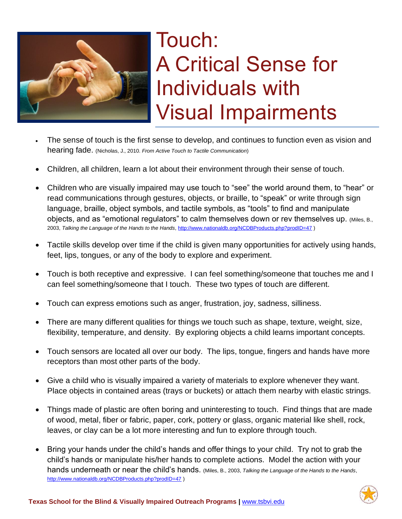

## Touch: A Critical Sense for Individuals with Visual Impairments

- The sense of touch is the first sense to develop, and continues to function even as vision and hearing fade. (Nicholas, J., 2010. *From Active Touch to Tactile Communication*)
- Children, all children, learn a lot about their environment through their sense of touch.
- Children who are visually impaired may use touch to "see" the world around them, to "hear" or read communications through gestures, objects, or braille, to "speak" or write through sign language, braille, object symbols, and tactile symbols, as "tools" to find and manipulate objects, and as "emotional regulators" to calm themselves down or rev themselves up. (Miles, B., 2003, *Talking the Language of the Hands to the Hands*,<http://www.nationaldb.org/NCDBProducts.php?prodID=47> )
- Tactile skills develop over time if the child is given many opportunities for actively using hands, feet, lips, tongues, or any of the body to explore and experiment.
- Touch is both receptive and expressive. I can feel something/someone that touches me and I can feel something/someone that I touch. These two types of touch are different.
- Touch can express emotions such as anger, frustration, joy, sadness, silliness.
- There are many different qualities for things we touch such as shape, texture, weight, size, flexibility, temperature, and density. By exploring objects a child learns important concepts.
- Touch sensors are located all over our body. The lips, tongue, fingers and hands have more receptors than most other parts of the body.
- Give a child who is visually impaired a variety of materials to explore whenever they want. Place objects in contained areas (trays or buckets) or attach them nearby with elastic strings.
- Things made of plastic are often boring and uninteresting to touch. Find things that are made of wood, metal, fiber or fabric, paper, cork, pottery or glass, organic material like shell, rock, leaves, or clay can be a lot more interesting and fun to explore through touch.
- Bring your hands under the child's hands and offer things to your child. Try not to grab the child's hands or manipulate his/her hands to complete actions. Model the action with your hands underneath or near the child's hands. (Miles, B., 2003, *Talking the Language of the Hands to the Hands*, <http://www.nationaldb.org/NCDBProducts.php?prodID=47> )